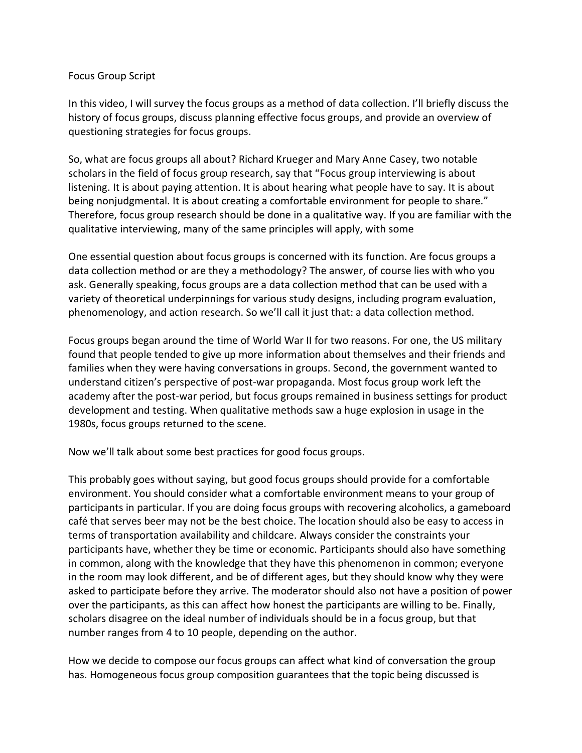## Focus Group Script

In this video, I will survey the focus groups as a method of data collection. I'll briefly discuss the history of focus groups, discuss planning effective focus groups, and provide an overview of questioning strategies for focus groups.

So, what are focus groups all about? Richard Krueger and Mary Anne Casey, two notable scholars in the field of focus group research, say that "Focus group interviewing is about listening. It is about paying attention. It is about hearing what people have to say. It is about being nonjudgmental. It is about creating a comfortable environment for people to share." Therefore, focus group research should be done in a qualitative way. If you are familiar with the qualitative interviewing, many of the same principles will apply, with some

One essential question about focus groups is concerned with its function. Are focus groups a data collection method or are they a methodology? The answer, of course lies with who you ask. Generally speaking, focus groups are a data collection method that can be used with a variety of theoretical underpinnings for various study designs, including program evaluation, phenomenology, and action research. So we'll call it just that: a data collection method.

Focus groups began around the time of World War II for two reasons. For one, the US military found that people tended to give up more information about themselves and their friends and families when they were having conversations in groups. Second, the government wanted to understand citizen's perspective of post-war propaganda. Most focus group work left the academy after the post-war period, but focus groups remained in business settings for product development and testing. When qualitative methods saw a huge explosion in usage in the 1980s, focus groups returned to the scene.

Now we'll talk about some best practices for good focus groups.

This probably goes without saying, but good focus groups should provide for a comfortable environment. You should consider what a comfortable environment means to your group of participants in particular. If you are doing focus groups with recovering alcoholics, a gameboard café that serves beer may not be the best choice. The location should also be easy to access in terms of transportation availability and childcare. Always consider the constraints your participants have, whether they be time or economic. Participants should also have something in common, along with the knowledge that they have this phenomenon in common; everyone in the room may look different, and be of different ages, but they should know why they were asked to participate before they arrive. The moderator should also not have a position of power over the participants, as this can affect how honest the participants are willing to be. Finally, scholars disagree on the ideal number of individuals should be in a focus group, but that number ranges from 4 to 10 people, depending on the author.

How we decide to compose our focus groups can affect what kind of conversation the group has. Homogeneous focus group composition guarantees that the topic being discussed is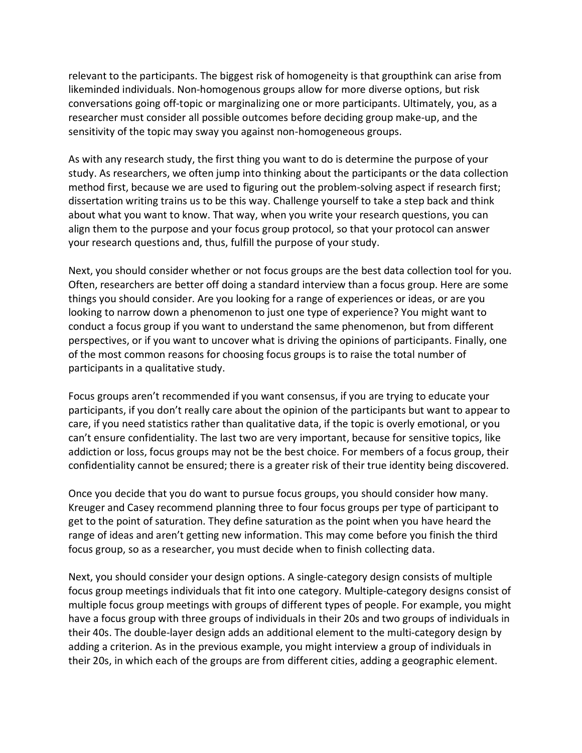relevant to the participants. The biggest risk of homogeneity is that groupthink can arise from likeminded individuals. Non-homogenous groups allow for more diverse options, but risk conversations going off-topic or marginalizing one or more participants. Ultimately, you, as a researcher must consider all possible outcomes before deciding group make-up, and the sensitivity of the topic may sway you against non-homogeneous groups.

As with any research study, the first thing you want to do is determine the purpose of your study. As researchers, we often jump into thinking about the participants or the data collection method first, because we are used to figuring out the problem-solving aspect if research first; dissertation writing trains us to be this way. Challenge yourself to take a step back and think about what you want to know. That way, when you write your research questions, you can align them to the purpose and your focus group protocol, so that your protocol can answer your research questions and, thus, fulfill the purpose of your study.

Next, you should consider whether or not focus groups are the best data collection tool for you. Often, researchers are better off doing a standard interview than a focus group. Here are some things you should consider. Are you looking for a range of experiences or ideas, or are you looking to narrow down a phenomenon to just one type of experience? You might want to conduct a focus group if you want to understand the same phenomenon, but from different perspectives, or if you want to uncover what is driving the opinions of participants. Finally, one of the most common reasons for choosing focus groups is to raise the total number of participants in a qualitative study.

Focus groups aren't recommended if you want consensus, if you are trying to educate your participants, if you don't really care about the opinion of the participants but want to appear to care, if you need statistics rather than qualitative data, if the topic is overly emotional, or you can't ensure confidentiality. The last two are very important, because for sensitive topics, like addiction or loss, focus groups may not be the best choice. For members of a focus group, their confidentiality cannot be ensured; there is a greater risk of their true identity being discovered.

Once you decide that you do want to pursue focus groups, you should consider how many. Kreuger and Casey recommend planning three to four focus groups per type of participant to get to the point of saturation. They define saturation as the point when you have heard the range of ideas and aren't getting new information. This may come before you finish the third focus group, so as a researcher, you must decide when to finish collecting data.

Next, you should consider your design options. A single-category design consists of multiple focus group meetings individuals that fit into one category. Multiple-category designs consist of multiple focus group meetings with groups of different types of people. For example, you might have a focus group with three groups of individuals in their 20s and two groups of individuals in their 40s. The double-layer design adds an additional element to the multi-category design by adding a criterion. As in the previous example, you might interview a group of individuals in their 20s, in which each of the groups are from different cities, adding a geographic element.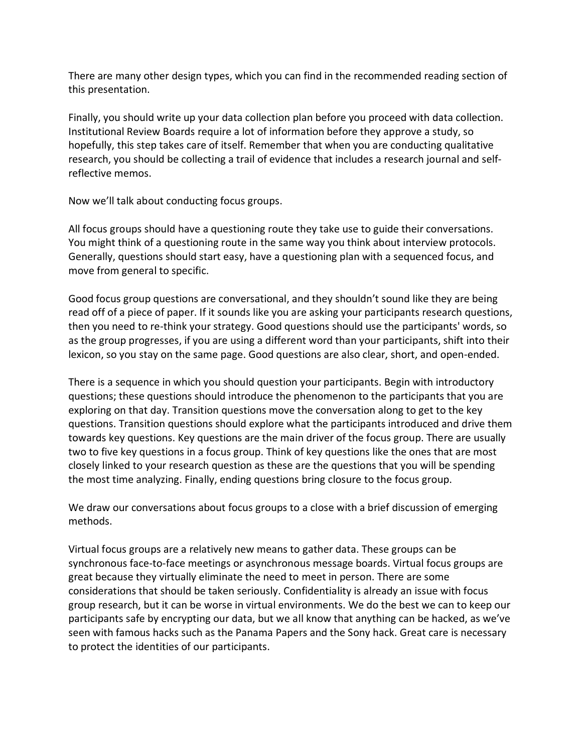There are many other design types, which you can find in the recommended reading section of this presentation.

Finally, you should write up your data collection plan before you proceed with data collection. Institutional Review Boards require a lot of information before they approve a study, so hopefully, this step takes care of itself. Remember that when you are conducting qualitative research, you should be collecting a trail of evidence that includes a research journal and selfreflective memos.

Now we'll talk about conducting focus groups.

All focus groups should have a questioning route they take use to guide their conversations. You might think of a questioning route in the same way you think about interview protocols. Generally, questions should start easy, have a questioning plan with a sequenced focus, and move from general to specific.

Good focus group questions are conversational, and they shouldn't sound like they are being read off of a piece of paper. If it sounds like you are asking your participants research questions, then you need to re-think your strategy. Good questions should use the participants' words, so as the group progresses, if you are using a different word than your participants, shift into their lexicon, so you stay on the same page. Good questions are also clear, short, and open-ended.

There is a sequence in which you should question your participants. Begin with introductory questions; these questions should introduce the phenomenon to the participants that you are exploring on that day. Transition questions move the conversation along to get to the key questions. Transition questions should explore what the participants introduced and drive them towards key questions. Key questions are the main driver of the focus group. There are usually two to five key questions in a focus group. Think of key questions like the ones that are most closely linked to your research question as these are the questions that you will be spending the most time analyzing. Finally, ending questions bring closure to the focus group.

We draw our conversations about focus groups to a close with a brief discussion of emerging methods.

Virtual focus groups are a relatively new means to gather data. These groups can be synchronous face-to-face meetings or asynchronous message boards. Virtual focus groups are great because they virtually eliminate the need to meet in person. There are some considerations that should be taken seriously. Confidentiality is already an issue with focus group research, but it can be worse in virtual environments. We do the best we can to keep our participants safe by encrypting our data, but we all know that anything can be hacked, as we've seen with famous hacks such as the Panama Papers and the Sony hack. Great care is necessary to protect the identities of our participants.